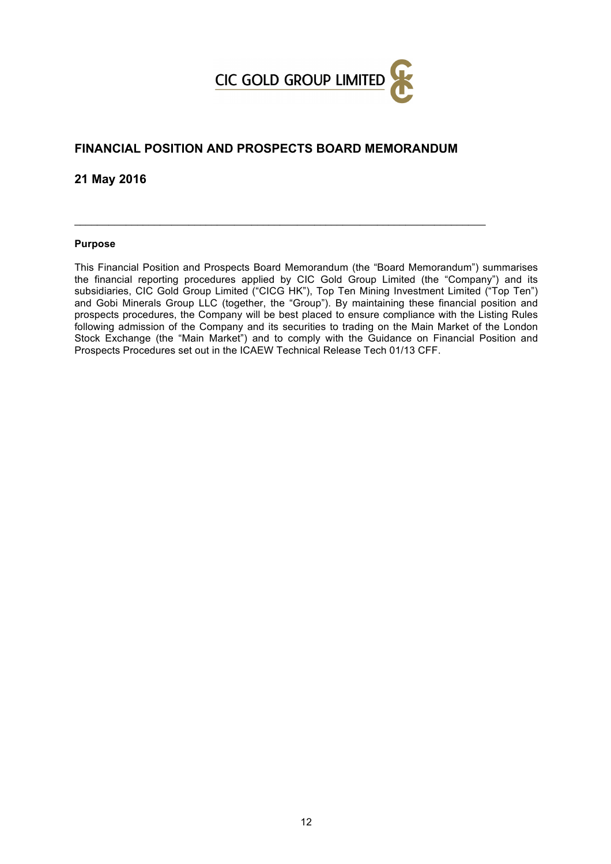

# **FINANCIAL POSITION AND PROSPECTS BOARD MEMORANDUM**

 $\_$  , and the set of the set of the set of the set of the set of the set of the set of the set of the set of the set of the set of the set of the set of the set of the set of the set of the set of the set of the set of th

**21 May 2016**

#### **Purpose**

This Financial Position and Prospects Board Memorandum (the "Board Memorandum") summarises the financial reporting procedures applied by CIC Gold Group Limited (the "Company") and its subsidiaries, CIC Gold Group Limited ("CICG HK"), Top Ten Mining Investment Limited ("Top Ten") and Gobi Minerals Group LLC (together, the "Group"). By maintaining these financial position and prospects procedures, the Company will be best placed to ensure compliance with the Listing Rules following admission of the Company and its securities to trading on the Main Market of the London Stock Exchange (the "Main Market") and to comply with the Guidance on Financial Position and Prospects Procedures set out in the ICAEW Technical Release Tech 01/13 CFF.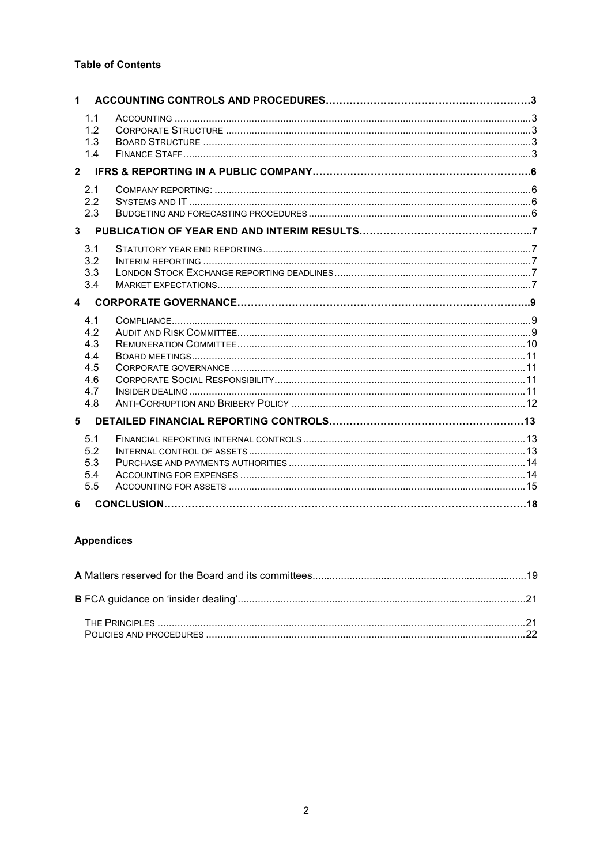# **Table of Contents**

| $\mathbf 1$                                          |  |
|------------------------------------------------------|--|
| 1.1<br>1.2<br>1.3<br>1.4                             |  |
|                                                      |  |
| 2.1<br>2.2<br>2.3                                    |  |
| 3 <sup>7</sup>                                       |  |
| 3.1<br>3.2<br>3.3<br>3.4                             |  |
| $\mathbf{A}$                                         |  |
| 4.1<br>4.2<br>4.3<br>4.4<br>4.5<br>4.6<br>4.7<br>4.8 |  |
| 5                                                    |  |
| 5.1<br>5.2<br>5.3<br>5.4<br>5.5                      |  |
| 6                                                    |  |

# **Appendices**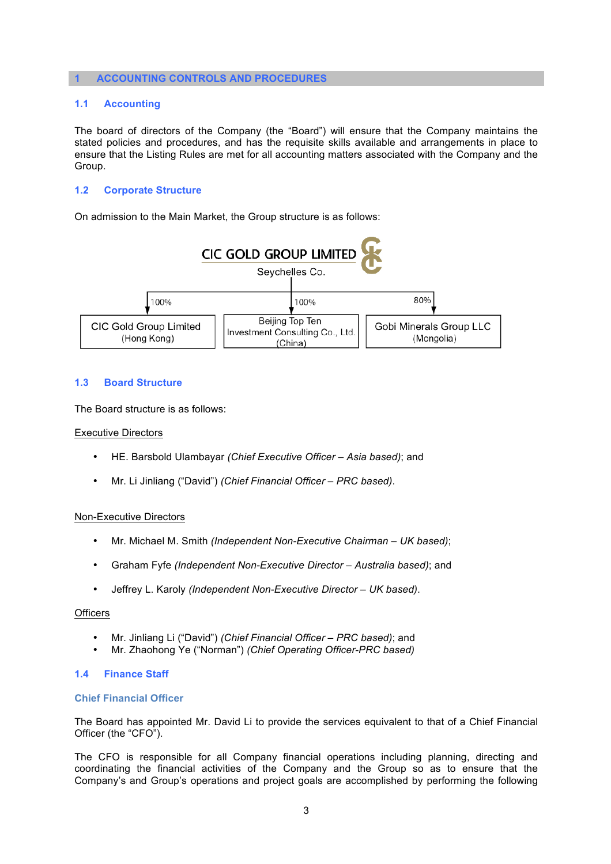#### **1 ACCOUNTING CONTROLS AND PROCEDURES**

### **1.1 Accounting**

The board of directors of the Company (the "Board") will ensure that the Company maintains the stated policies and procedures, and has the requisite skills available and arrangements in place to ensure that the Listing Rules are met for all accounting matters associated with the Company and the Group.

## **1.2 Corporate Structure**

On admission to the Main Market, the Group structure is as follows:



#### **1.3 Board Structure**

The Board structure is as follows:

#### Executive Directors

- HE. Barsbold Ulambayar *(Chief Executive Officer – Asia based)*; and
- Mr. Li Jinliang ("David") *(Chief Financial Officer – PRC based)*.

#### Non-Executive Directors

- Mr. Michael M. Smith *(Independent Non-Executive Chairman – UK based)*;
- Graham Fyfe *(Independent Non-Executive Director – Australia based)*; and
- Jeffrey L. Karoly *(Independent Non-Executive Director – UK based)*.

#### **Officers**

- Mr. Jinliang Li ("David") *(Chief Financial Officer – PRC based)*; and
- Mr. Zhaohong Ye ("Norman") *(Chief Operating Officer-PRC based)*

#### **1.4 Finance Staff**

#### **Chief Financial Officer**

The Board has appointed Mr. David Li to provide the services equivalent to that of a Chief Financial Officer (the "CFO").

The CFO is responsible for all Company financial operations including planning, directing and coordinating the financial activities of the Company and the Group so as to ensure that the Company's and Group's operations and project goals are accomplished by performing the following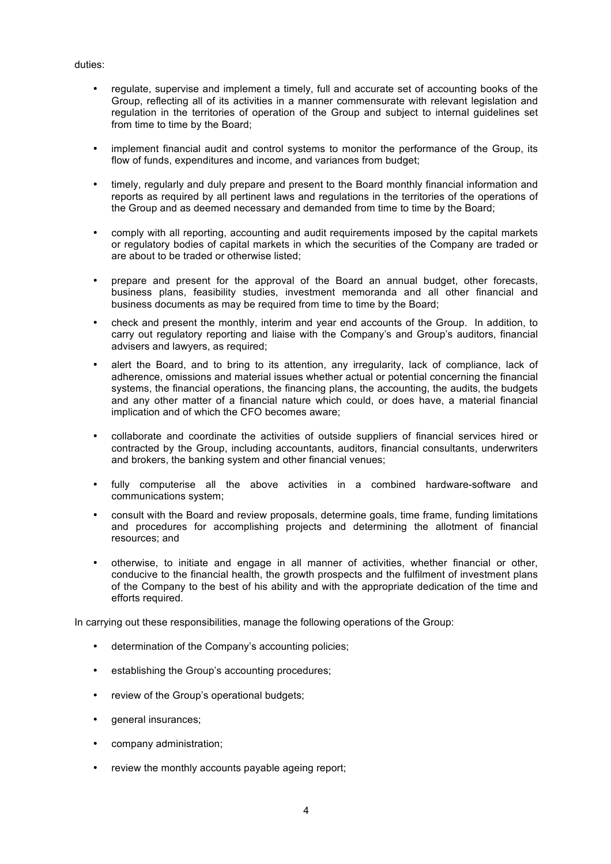#### duties:

- regulate, supervise and implement a timely, full and accurate set of accounting books of the Group, reflecting all of its activities in a manner commensurate with relevant legislation and regulation in the territories of operation of the Group and subject to internal guidelines set from time to time by the Board;
- implement financial audit and control systems to monitor the performance of the Group, its flow of funds, expenditures and income, and variances from budget;
- timely, regularly and duly prepare and present to the Board monthly financial information and reports as required by all pertinent laws and regulations in the territories of the operations of the Group and as deemed necessary and demanded from time to time by the Board;
- comply with all reporting, accounting and audit requirements imposed by the capital markets or regulatory bodies of capital markets in which the securities of the Company are traded or are about to be traded or otherwise listed;
- prepare and present for the approval of the Board an annual budget, other forecasts, business plans, feasibility studies, investment memoranda and all other financial and business documents as may be required from time to time by the Board;
- check and present the monthly, interim and year end accounts of the Group. In addition, to carry out regulatory reporting and liaise with the Company's and Group's auditors, financial advisers and lawyers, as required;
- alert the Board, and to bring to its attention, any irregularity, lack of compliance, lack of adherence, omissions and material issues whether actual or potential concerning the financial systems, the financial operations, the financing plans, the accounting, the audits, the budgets and any other matter of a financial nature which could, or does have, a material financial implication and of which the CFO becomes aware;
- collaborate and coordinate the activities of outside suppliers of financial services hired or contracted by the Group, including accountants, auditors, financial consultants, underwriters and brokers, the banking system and other financial venues;
- fully computerise all the above activities in a combined hardware-software and communications system;
- consult with the Board and review proposals, determine goals, time frame, funding limitations and procedures for accomplishing projects and determining the allotment of financial resources; and
- otherwise, to initiate and engage in all manner of activities, whether financial or other, conducive to the financial health, the growth prospects and the fulfilment of investment plans of the Company to the best of his ability and with the appropriate dedication of the time and efforts required.

In carrying out these responsibilities, manage the following operations of the Group:

- determination of the Company's accounting policies;
- establishing the Group's accounting procedures;
- review of the Group's operational budgets;
- general insurances;
- company administration;
- review the monthly accounts payable ageing report;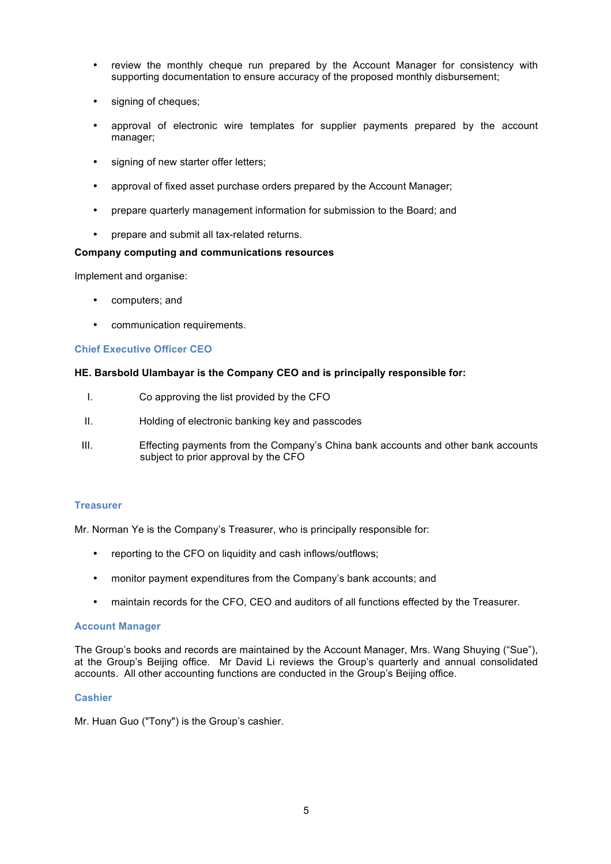- review the monthly cheque run prepared by the Account Manager for consistency with supporting documentation to ensure accuracy of the proposed monthly disbursement;
- signing of cheques:
- approval of electronic wire templates for supplier payments prepared by the account manager;
- signing of new starter offer letters;
- approval of fixed asset purchase orders prepared by the Account Manager;
- prepare quarterly management information for submission to the Board; and
- prepare and submit all tax-related returns.

#### **Company computing and communications resources**

Implement and organise:

- computers; and
- communication requirements.

## **Chief Executive Officer CEO**

#### **HE. Barsbold Ulambayar is the Company CEO and is principally responsible for:**

- I. Co approving the list provided by the CFO
- II. Holding of electronic banking key and passcodes
- III. Effecting payments from the Company's China bank accounts and other bank accounts subject to prior approval by the CFO

#### **Treasurer**

Mr. Norman Ye is the Company's Treasurer, who is principally responsible for:

- reporting to the CFO on liquidity and cash inflows/outflows;
- monitor payment expenditures from the Company's bank accounts; and
- maintain records for the CFO, CEO and auditors of all functions effected by the Treasurer.

#### **Account Manager**

The Group's books and records are maintained by the Account Manager, Mrs. Wang Shuying ("Sue"), at the Group's Beijing office. Mr David Li reviews the Group's quarterly and annual consolidated accounts. All other accounting functions are conducted in the Group's Beijing office.

#### **Cashier**

Mr. Huan Guo ("Tony") is the Group's cashier.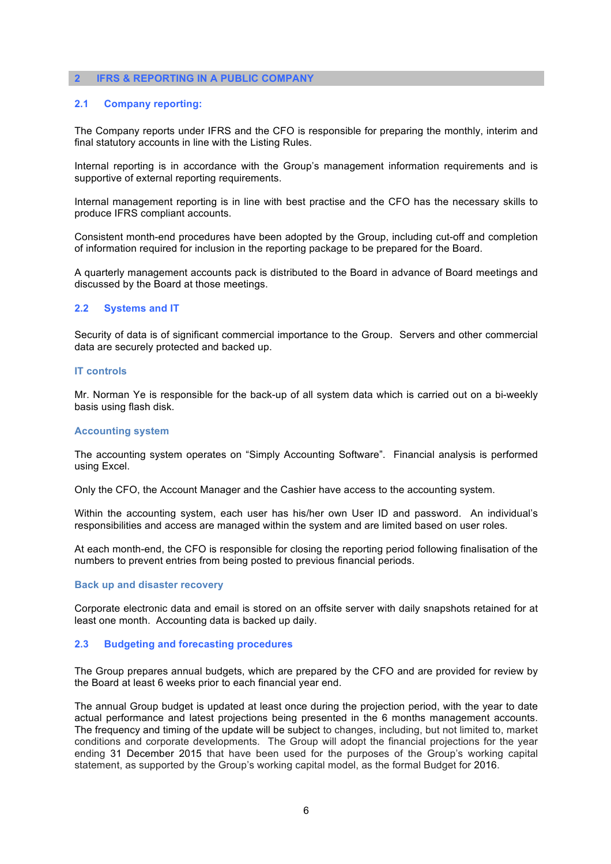#### **2 IFRS & REPORTING IN A PUBLIC COMPANY**

#### **2.1 Company reporting:**

The Company reports under IFRS and the CFO is responsible for preparing the monthly, interim and final statutory accounts in line with the Listing Rules.

Internal reporting is in accordance with the Group's management information requirements and is supportive of external reporting requirements.

Internal management reporting is in line with best practise and the CFO has the necessary skills to produce IFRS compliant accounts.

Consistent month-end procedures have been adopted by the Group, including cut-off and completion of information required for inclusion in the reporting package to be prepared for the Board.

A quarterly management accounts pack is distributed to the Board in advance of Board meetings and discussed by the Board at those meetings.

#### **2.2 Systems and IT**

Security of data is of significant commercial importance to the Group. Servers and other commercial data are securely protected and backed up.

#### **IT controls**

Mr. Norman Ye is responsible for the back-up of all system data which is carried out on a bi-weekly basis using flash disk.

#### **Accounting system**

The accounting system operates on "Simply Accounting Software". Financial analysis is performed using Excel.

Only the CFO, the Account Manager and the Cashier have access to the accounting system.

Within the accounting system, each user has his/her own User ID and password. An individual's responsibilities and access are managed within the system and are limited based on user roles.

At each month-end, the CFO is responsible for closing the reporting period following finalisation of the numbers to prevent entries from being posted to previous financial periods.

#### **Back up and disaster recovery**

Corporate electronic data and email is stored on an offsite server with daily snapshots retained for at least one month. Accounting data is backed up daily.

### **2.3 Budgeting and forecasting procedures**

The Group prepares annual budgets, which are prepared by the CFO and are provided for review by the Board at least 6 weeks prior to each financial year end.

The annual Group budget is updated at least once during the projection period, with the year to date actual performance and latest projections being presented in the 6 months management accounts. The frequency and timing of the update will be subject to changes, including, but not limited to, market conditions and corporate developments. The Group will adopt the financial projections for the year ending 31 December 2015 that have been used for the purposes of the Group's working capital statement, as supported by the Group's working capital model, as the formal Budget for 2016.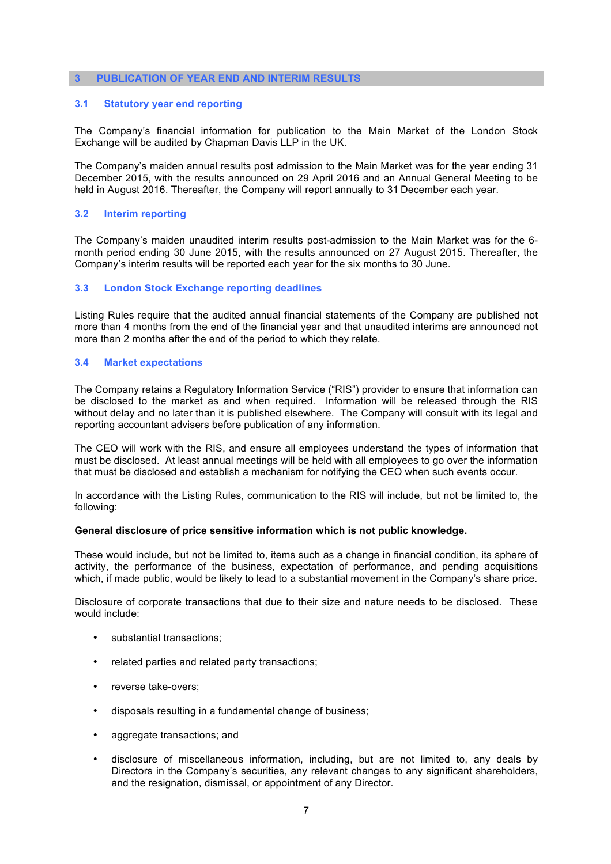#### **3 PUBLICATION OF YEAR END AND INTERIM RESULTS**

## **3.1 Statutory year end reporting**

The Company's financial information for publication to the Main Market of the London Stock Exchange will be audited by Chapman Davis LLP in the UK.

The Company's maiden annual results post admission to the Main Market was for the year ending 31 December 2015, with the results announced on 29 April 2016 and an Annual General Meeting to be held in August 2016. Thereafter, the Company will report annually to 31 December each year.

#### **3.2 Interim reporting**

The Company's maiden unaudited interim results post-admission to the Main Market was for the 6 month period ending 30 June 2015, with the results announced on 27 August 2015. Thereafter, the Company's interim results will be reported each year for the six months to 30 June.

#### **3.3 London Stock Exchange reporting deadlines**

Listing Rules require that the audited annual financial statements of the Company are published not more than 4 months from the end of the financial year and that unaudited interims are announced not more than 2 months after the end of the period to which they relate.

#### **3.4 Market expectations**

The Company retains a Regulatory Information Service ("RIS") provider to ensure that information can be disclosed to the market as and when required. Information will be released through the RIS without delay and no later than it is published elsewhere. The Company will consult with its legal and reporting accountant advisers before publication of any information.

The CEO will work with the RIS, and ensure all employees understand the types of information that must be disclosed. At least annual meetings will be held with all employees to go over the information that must be disclosed and establish a mechanism for notifying the CEO when such events occur.

In accordance with the Listing Rules, communication to the RIS will include, but not be limited to, the following:

#### **General disclosure of price sensitive information which is not public knowledge.**

These would include, but not be limited to, items such as a change in financial condition, its sphere of activity, the performance of the business, expectation of performance, and pending acquisitions which, if made public, would be likely to lead to a substantial movement in the Company's share price.

Disclosure of corporate transactions that due to their size and nature needs to be disclosed. These would include:

- substantial transactions;
- related parties and related party transactions;
- reverse take-overs;
- disposals resulting in a fundamental change of business;
- aggregate transactions; and
- disclosure of miscellaneous information, including, but are not limited to, any deals by Directors in the Company's securities, any relevant changes to any significant shareholders, and the resignation, dismissal, or appointment of any Director.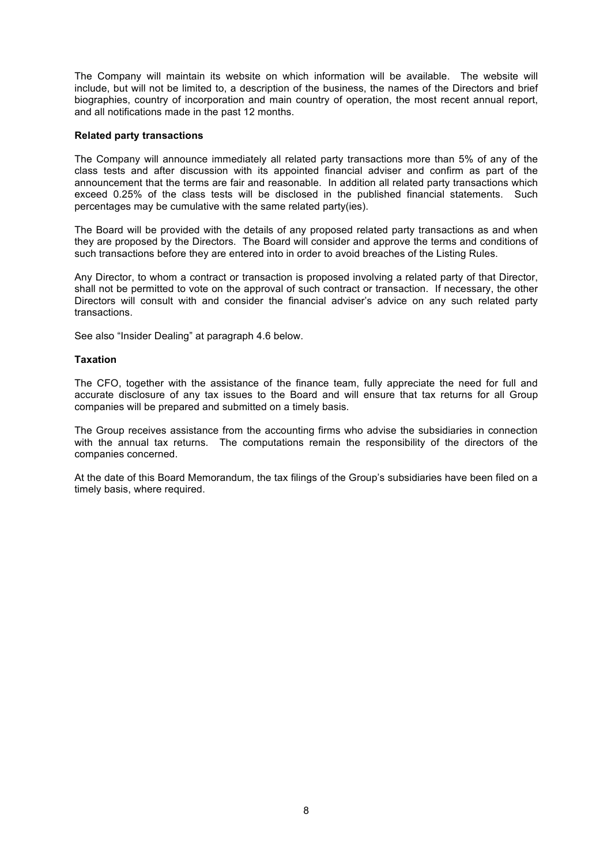The Company will maintain its website on which information will be available. The website will include, but will not be limited to, a description of the business, the names of the Directors and brief biographies, country of incorporation and main country of operation, the most recent annual report, and all notifications made in the past 12 months.

## **Related party transactions**

The Company will announce immediately all related party transactions more than 5% of any of the class tests and after discussion with its appointed financial adviser and confirm as part of the announcement that the terms are fair and reasonable. In addition all related party transactions which exceed 0.25% of the class tests will be disclosed in the published financial statements. Such percentages may be cumulative with the same related party(ies).

The Board will be provided with the details of any proposed related party transactions as and when they are proposed by the Directors. The Board will consider and approve the terms and conditions of such transactions before they are entered into in order to avoid breaches of the Listing Rules.

Any Director, to whom a contract or transaction is proposed involving a related party of that Director, shall not be permitted to vote on the approval of such contract or transaction. If necessary, the other Directors will consult with and consider the financial adviser's advice on any such related party transactions.

See also "Insider Dealing" at paragraph 4.6 below.

## **Taxation**

The CFO, together with the assistance of the finance team, fully appreciate the need for full and accurate disclosure of any tax issues to the Board and will ensure that tax returns for all Group companies will be prepared and submitted on a timely basis.

The Group receives assistance from the accounting firms who advise the subsidiaries in connection with the annual tax returns. The computations remain the responsibility of the directors of the companies concerned.

At the date of this Board Memorandum, the tax filings of the Group's subsidiaries have been filed on a timely basis, where required.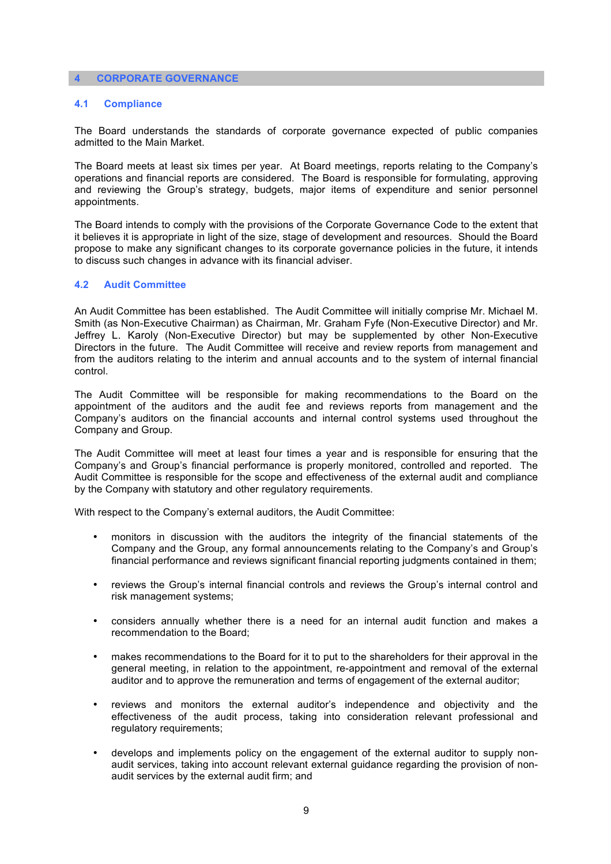#### **4 CORPORATE GOVERNANCE**

#### **4.1 Compliance**

The Board understands the standards of corporate governance expected of public companies admitted to the Main Market.

The Board meets at least six times per year. At Board meetings, reports relating to the Company's operations and financial reports are considered. The Board is responsible for formulating, approving and reviewing the Group's strategy, budgets, major items of expenditure and senior personnel appointments.

The Board intends to comply with the provisions of the Corporate Governance Code to the extent that it believes it is appropriate in light of the size, stage of development and resources. Should the Board propose to make any significant changes to its corporate governance policies in the future, it intends to discuss such changes in advance with its financial adviser.

#### **4.2 Audit Committee**

An Audit Committee has been established. The Audit Committee will initially comprise Mr. Michael M. Smith (as Non-Executive Chairman) as Chairman, Mr. Graham Fyfe (Non-Executive Director) and Mr. Jeffrey L. Karoly (Non-Executive Director) but may be supplemented by other Non-Executive Directors in the future. The Audit Committee will receive and review reports from management and from the auditors relating to the interim and annual accounts and to the system of internal financial control.

The Audit Committee will be responsible for making recommendations to the Board on the appointment of the auditors and the audit fee and reviews reports from management and the Company's auditors on the financial accounts and internal control systems used throughout the Company and Group.

The Audit Committee will meet at least four times a year and is responsible for ensuring that the Company's and Group's financial performance is properly monitored, controlled and reported. The Audit Committee is responsible for the scope and effectiveness of the external audit and compliance by the Company with statutory and other regulatory requirements.

With respect to the Company's external auditors, the Audit Committee:

- monitors in discussion with the auditors the integrity of the financial statements of the Company and the Group, any formal announcements relating to the Company's and Group's financial performance and reviews significant financial reporting judgments contained in them;
- reviews the Group's internal financial controls and reviews the Group's internal control and risk management systems;
- considers annually whether there is a need for an internal audit function and makes a recommendation to the Board;
- makes recommendations to the Board for it to put to the shareholders for their approval in the general meeting, in relation to the appointment, re-appointment and removal of the external auditor and to approve the remuneration and terms of engagement of the external auditor;
- reviews and monitors the external auditor's independence and objectivity and the effectiveness of the audit process, taking into consideration relevant professional and regulatory requirements;
- develops and implements policy on the engagement of the external auditor to supply nonaudit services, taking into account relevant external guidance regarding the provision of nonaudit services by the external audit firm; and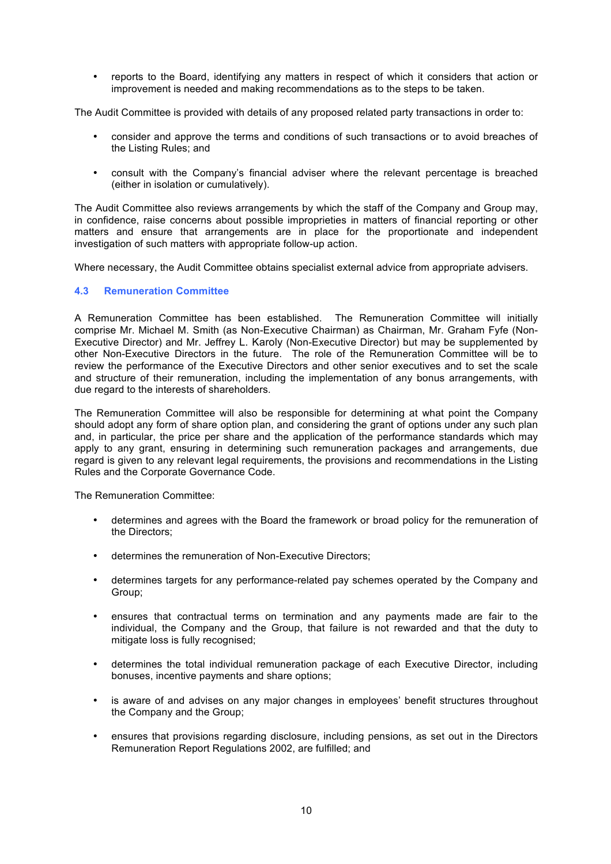• reports to the Board, identifying any matters in respect of which it considers that action or improvement is needed and making recommendations as to the steps to be taken.

The Audit Committee is provided with details of any proposed related party transactions in order to:

- consider and approve the terms and conditions of such transactions or to avoid breaches of the Listing Rules; and
- consult with the Company's financial adviser where the relevant percentage is breached (either in isolation or cumulatively).

The Audit Committee also reviews arrangements by which the staff of the Company and Group may, in confidence, raise concerns about possible improprieties in matters of financial reporting or other matters and ensure that arrangements are in place for the proportionate and independent investigation of such matters with appropriate follow-up action.

Where necessary, the Audit Committee obtains specialist external advice from appropriate advisers.

# **4.3 Remuneration Committee**

A Remuneration Committee has been established. The Remuneration Committee will initially comprise Mr. Michael M. Smith (as Non-Executive Chairman) as Chairman, Mr. Graham Fyfe (Non-Executive Director) and Mr. Jeffrey L. Karoly (Non-Executive Director) but may be supplemented by other Non-Executive Directors in the future. The role of the Remuneration Committee will be to review the performance of the Executive Directors and other senior executives and to set the scale and structure of their remuneration, including the implementation of any bonus arrangements, with due regard to the interests of shareholders.

The Remuneration Committee will also be responsible for determining at what point the Company should adopt any form of share option plan, and considering the grant of options under any such plan and, in particular, the price per share and the application of the performance standards which may apply to any grant, ensuring in determining such remuneration packages and arrangements, due regard is given to any relevant legal requirements, the provisions and recommendations in the Listing Rules and the Corporate Governance Code.

The Remuneration Committee:

- determines and agrees with the Board the framework or broad policy for the remuneration of the Directors;
- determines the remuneration of Non-Executive Directors;
- determines targets for any performance-related pay schemes operated by the Company and Group;
- ensures that contractual terms on termination and any payments made are fair to the individual, the Company and the Group, that failure is not rewarded and that the duty to mitigate loss is fully recognised;
- determines the total individual remuneration package of each Executive Director, including bonuses, incentive payments and share options;
- is aware of and advises on any major changes in employees' benefit structures throughout the Company and the Group;
- ensures that provisions regarding disclosure, including pensions, as set out in the Directors Remuneration Report Regulations 2002, are fulfilled; and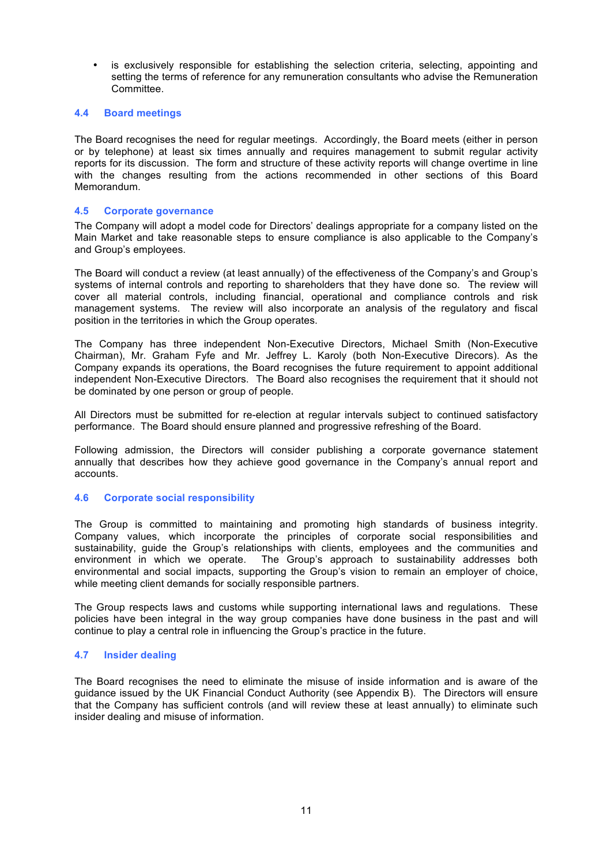• is exclusively responsible for establishing the selection criteria, selecting, appointing and setting the terms of reference for any remuneration consultants who advise the Remuneration Committee.

## **4.4 Board meetings**

The Board recognises the need for regular meetings. Accordingly, the Board meets (either in person or by telephone) at least six times annually and requires management to submit regular activity reports for its discussion. The form and structure of these activity reports will change overtime in line with the changes resulting from the actions recommended in other sections of this Board Memorandum.

## **4.5 Corporate governance**

The Company will adopt a model code for Directors' dealings appropriate for a company listed on the Main Market and take reasonable steps to ensure compliance is also applicable to the Company's and Group's employees.

The Board will conduct a review (at least annually) of the effectiveness of the Company's and Group's systems of internal controls and reporting to shareholders that they have done so. The review will cover all material controls, including financial, operational and compliance controls and risk management systems. The review will also incorporate an analysis of the regulatory and fiscal position in the territories in which the Group operates.

The Company has three independent Non-Executive Directors, Michael Smith (Non-Executive Chairman), Mr. Graham Fyfe and Mr. Jeffrey L. Karoly (both Non-Executive Direcors). As the Company expands its operations, the Board recognises the future requirement to appoint additional independent Non-Executive Directors. The Board also recognises the requirement that it should not be dominated by one person or group of people.

All Directors must be submitted for re-election at regular intervals subject to continued satisfactory performance. The Board should ensure planned and progressive refreshing of the Board.

Following admission, the Directors will consider publishing a corporate governance statement annually that describes how they achieve good governance in the Company's annual report and accounts.

# **4.6 Corporate social responsibility**

The Group is committed to maintaining and promoting high standards of business integrity. Company values, which incorporate the principles of corporate social responsibilities and sustainability, guide the Group's relationships with clients, employees and the communities and environment in which we operate. The Group's approach to sustainability addresses both The Group's approach to sustainability addresses both environmental and social impacts, supporting the Group's vision to remain an employer of choice, while meeting client demands for socially responsible partners.

The Group respects laws and customs while supporting international laws and regulations. These policies have been integral in the way group companies have done business in the past and will continue to play a central role in influencing the Group's practice in the future.

#### **4.7 Insider dealing**

The Board recognises the need to eliminate the misuse of inside information and is aware of the guidance issued by the UK Financial Conduct Authority (see Appendix B). The Directors will ensure that the Company has sufficient controls (and will review these at least annually) to eliminate such insider dealing and misuse of information.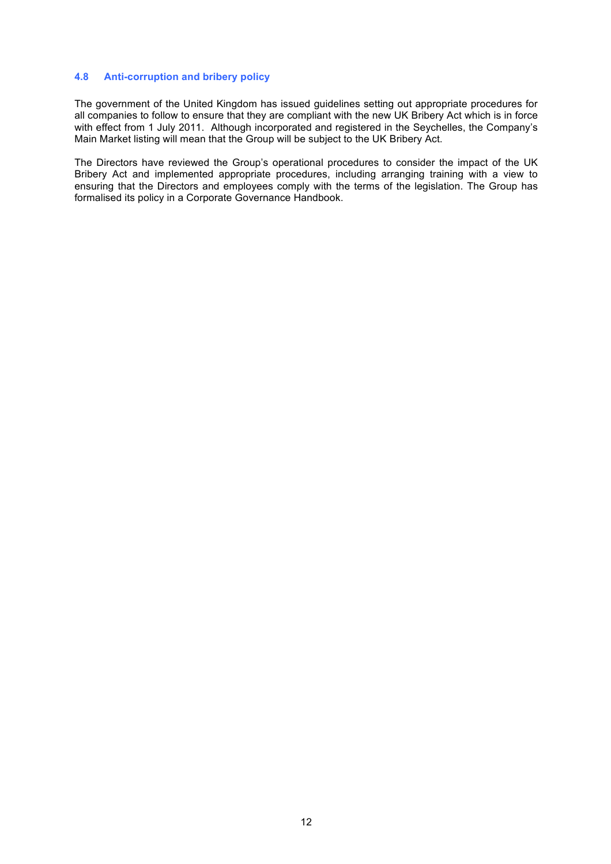## **4.8 Anti-corruption and bribery policy**

The government of the United Kingdom has issued guidelines setting out appropriate procedures for all companies to follow to ensure that they are compliant with the new UK Bribery Act which is in force with effect from 1 July 2011. Although incorporated and registered in the Seychelles, the Company's Main Market listing will mean that the Group will be subject to the UK Bribery Act.

The Directors have reviewed the Group's operational procedures to consider the impact of the UK Bribery Act and implemented appropriate procedures, including arranging training with a view to ensuring that the Directors and employees comply with the terms of the legislation. The Group has formalised its policy in a Corporate Governance Handbook.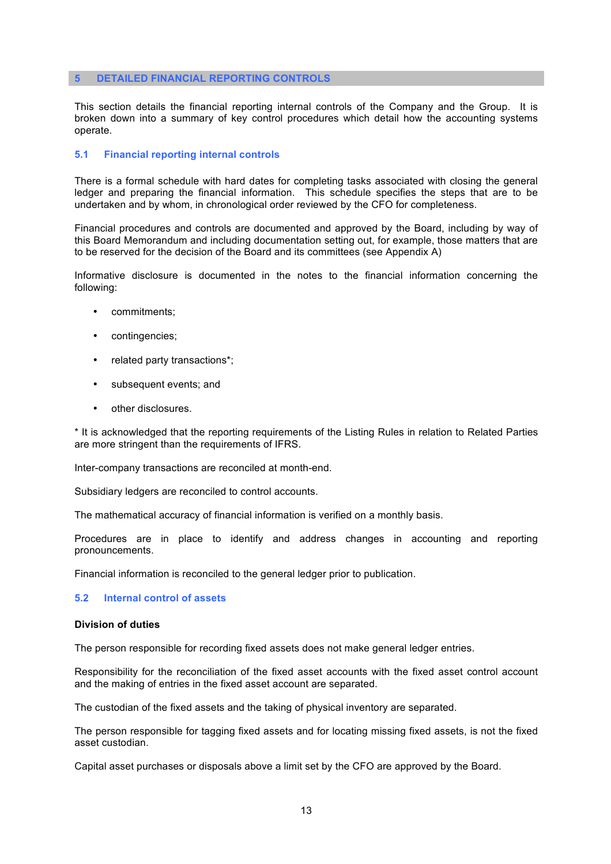#### **5 DETAILED FINANCIAL REPORTING CONTROLS**

This section details the financial reporting internal controls of the Company and the Group. It is broken down into a summary of key control procedures which detail how the accounting systems operate.

#### **5.1 Financial reporting internal controls**

There is a formal schedule with hard dates for completing tasks associated with closing the general ledger and preparing the financial information. This schedule specifies the steps that are to be undertaken and by whom, in chronological order reviewed by the CFO for completeness.

Financial procedures and controls are documented and approved by the Board, including by way of this Board Memorandum and including documentation setting out, for example, those matters that are to be reserved for the decision of the Board and its committees (see Appendix A)

Informative disclosure is documented in the notes to the financial information concerning the following:

- commitments;
- contingencies;
- related party transactions\*;
- subsequent events; and
- other disclosures.

\* It is acknowledged that the reporting requirements of the Listing Rules in relation to Related Parties are more stringent than the requirements of IFRS.

Inter-company transactions are reconciled at month-end.

Subsidiary ledgers are reconciled to control accounts.

The mathematical accuracy of financial information is verified on a monthly basis.

Procedures are in place to identify and address changes in accounting and reporting pronouncements.

Financial information is reconciled to the general ledger prior to publication.

#### **5.2 Internal control of assets**

#### **Division of duties**

The person responsible for recording fixed assets does not make general ledger entries.

Responsibility for the reconciliation of the fixed asset accounts with the fixed asset control account and the making of entries in the fixed asset account are separated.

The custodian of the fixed assets and the taking of physical inventory are separated.

The person responsible for tagging fixed assets and for locating missing fixed assets, is not the fixed asset custodian.

Capital asset purchases or disposals above a limit set by the CFO are approved by the Board.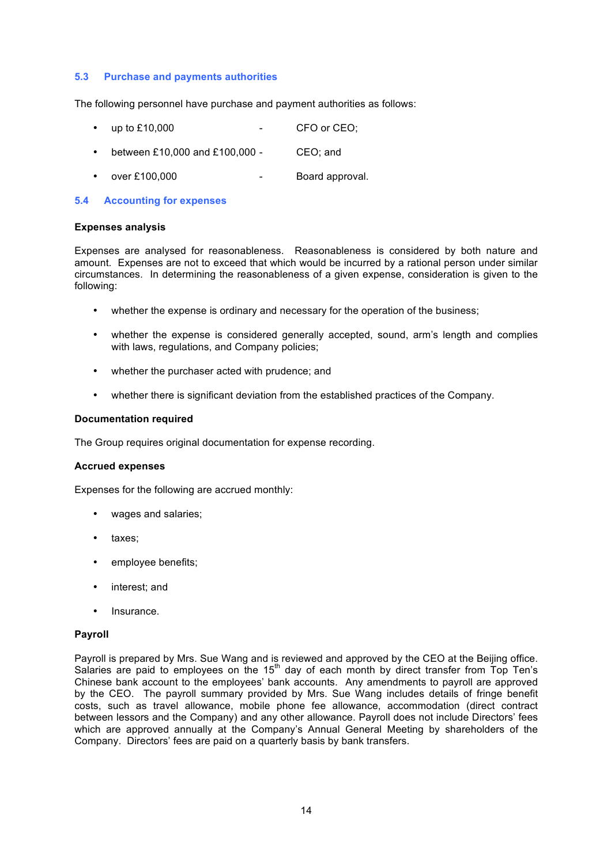## **5.3 Purchase and payments authorities**

The following personnel have purchase and payment authorities as follows:

- up to £10,000 CFO or CEO;
- between £10,000 and £100,000 CEO; and
- over £100,000 Board approval.

## **5.4 Accounting for expenses**

#### **Expenses analysis**

Expenses are analysed for reasonableness. Reasonableness is considered by both nature and amount. Expenses are not to exceed that which would be incurred by a rational person under similar circumstances. In determining the reasonableness of a given expense, consideration is given to the following:

- whether the expense is ordinary and necessary for the operation of the business;
- whether the expense is considered generally accepted, sound, arm's length and complies with laws, regulations, and Company policies;
- whether the purchaser acted with prudence; and
- whether there is significant deviation from the established practices of the Company.

#### **Documentation required**

The Group requires original documentation for expense recording.

#### **Accrued expenses**

Expenses for the following are accrued monthly:

- wages and salaries;
- taxes;
- employee benefits;
- interest; and
- Insurance.

## **Payroll**

Payroll is prepared by Mrs. Sue Wang and is reviewed and approved by the CEO at the Beijing office. Salaries are paid to employees on the 15<sup>th</sup> day of each month by direct transfer from Top Ten's Chinese bank account to the employees' bank accounts. Any amendments to payroll are approved by the CEO. The payroll summary provided by Mrs. Sue Wang includes details of fringe benefit costs, such as travel allowance, mobile phone fee allowance, accommodation (direct contract between lessors and the Company) and any other allowance. Payroll does not include Directors' fees which are approved annually at the Company's Annual General Meeting by shareholders of the Company. Directors' fees are paid on a quarterly basis by bank transfers.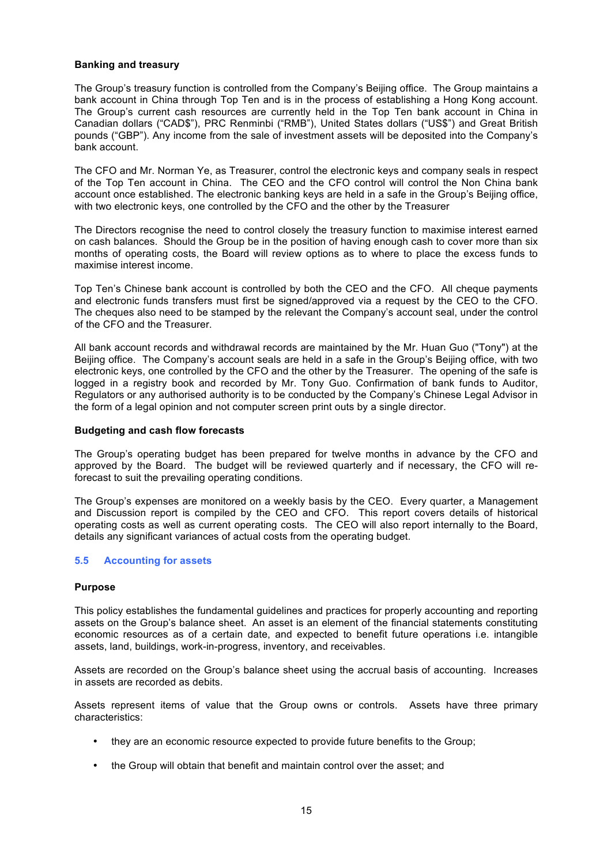### **Banking and treasury**

The Group's treasury function is controlled from the Company's Beijing office. The Group maintains a bank account in China through Top Ten and is in the process of establishing a Hong Kong account. The Group's current cash resources are currently held in the Top Ten bank account in China in Canadian dollars ("CAD\$"), PRC Renminbi ("RMB"), United States dollars ("US\$") and Great British pounds ("GBP"). Any income from the sale of investment assets will be deposited into the Company's bank account.

The CFO and Mr. Norman Ye, as Treasurer, control the electronic keys and company seals in respect of the Top Ten account in China. The CEO and the CFO control will control the Non China bank account once established. The electronic banking keys are held in a safe in the Group's Beijing office, with two electronic keys, one controlled by the CFO and the other by the Treasurer

The Directors recognise the need to control closely the treasury function to maximise interest earned on cash balances. Should the Group be in the position of having enough cash to cover more than six months of operating costs, the Board will review options as to where to place the excess funds to maximise interest income.

Top Ten's Chinese bank account is controlled by both the CEO and the CFO. All cheque payments and electronic funds transfers must first be signed/approved via a request by the CEO to the CFO. The cheques also need to be stamped by the relevant the Company's account seal, under the control of the CFO and the Treasurer.

All bank account records and withdrawal records are maintained by the Mr. Huan Guo ("Tony") at the Beijing office. The Company's account seals are held in a safe in the Group's Beijing office, with two electronic keys, one controlled by the CFO and the other by the Treasurer. The opening of the safe is logged in a registry book and recorded by Mr. Tony Guo. Confirmation of bank funds to Auditor, Regulators or any authorised authority is to be conducted by the Company's Chinese Legal Advisor in the form of a legal opinion and not computer screen print outs by a single director.

## **Budgeting and cash flow forecasts**

The Group's operating budget has been prepared for twelve months in advance by the CFO and approved by the Board. The budget will be reviewed quarterly and if necessary, the CFO will reforecast to suit the prevailing operating conditions.

The Group's expenses are monitored on a weekly basis by the CEO. Every quarter, a Management and Discussion report is compiled by the CEO and CFO. This report covers details of historical operating costs as well as current operating costs. The CEO will also report internally to the Board, details any significant variances of actual costs from the operating budget.

# **5.5 Accounting for assets**

#### **Purpose**

This policy establishes the fundamental guidelines and practices for properly accounting and reporting assets on the Group's balance sheet. An asset is an element of the financial statements constituting economic resources as of a certain date, and expected to benefit future operations i.e. intangible assets, land, buildings, work-in-progress, inventory, and receivables.

Assets are recorded on the Group's balance sheet using the accrual basis of accounting. Increases in assets are recorded as debits.

Assets represent items of value that the Group owns or controls. Assets have three primary characteristics:

- they are an economic resource expected to provide future benefits to the Group;
- the Group will obtain that benefit and maintain control over the asset; and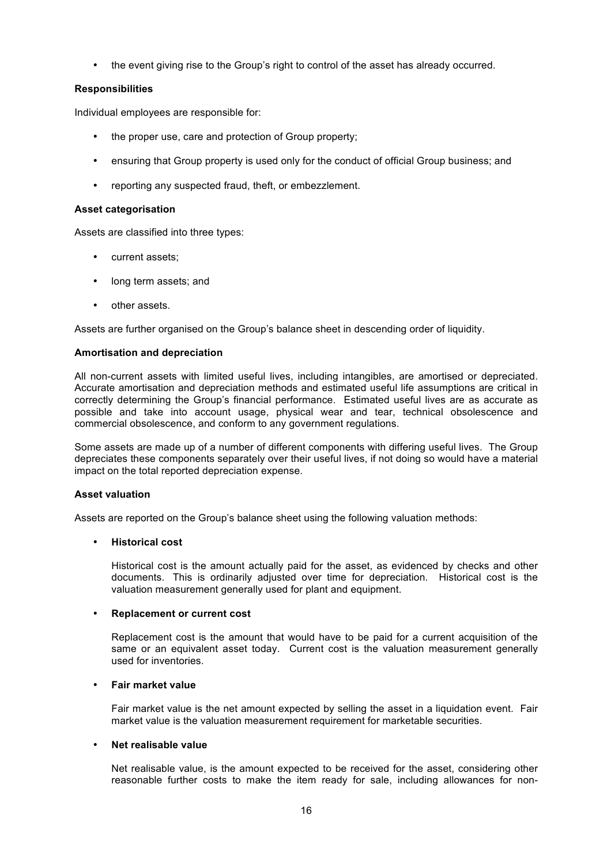• the event giving rise to the Group's right to control of the asset has already occurred.

# **Responsibilities**

Individual employees are responsible for:

- the proper use, care and protection of Group property;
- ensuring that Group property is used only for the conduct of official Group business; and
- reporting any suspected fraud, theft, or embezzlement.

## **Asset categorisation**

Assets are classified into three types:

- current assets;
- long term assets; and
- other assets.

Assets are further organised on the Group's balance sheet in descending order of liquidity.

## **Amortisation and depreciation**

All non-current assets with limited useful lives, including intangibles, are amortised or depreciated. Accurate amortisation and depreciation methods and estimated useful life assumptions are critical in correctly determining the Group's financial performance. Estimated useful lives are as accurate as possible and take into account usage, physical wear and tear, technical obsolescence and commercial obsolescence, and conform to any government regulations.

Some assets are made up of a number of different components with differing useful lives. The Group depreciates these components separately over their useful lives, if not doing so would have a material impact on the total reported depreciation expense.

# **Asset valuation**

Assets are reported on the Group's balance sheet using the following valuation methods:

# • **Historical cost**

Historical cost is the amount actually paid for the asset, as evidenced by checks and other documents. This is ordinarily adjusted over time for depreciation. Historical cost is the valuation measurement generally used for plant and equipment.

# • **Replacement or current cost**

Replacement cost is the amount that would have to be paid for a current acquisition of the same or an equivalent asset today. Current cost is the valuation measurement generally used for inventories.

# • **Fair market value**

Fair market value is the net amount expected by selling the asset in a liquidation event. Fair market value is the valuation measurement requirement for marketable securities.

# • **Net realisable value**

Net realisable value, is the amount expected to be received for the asset, considering other reasonable further costs to make the item ready for sale, including allowances for non-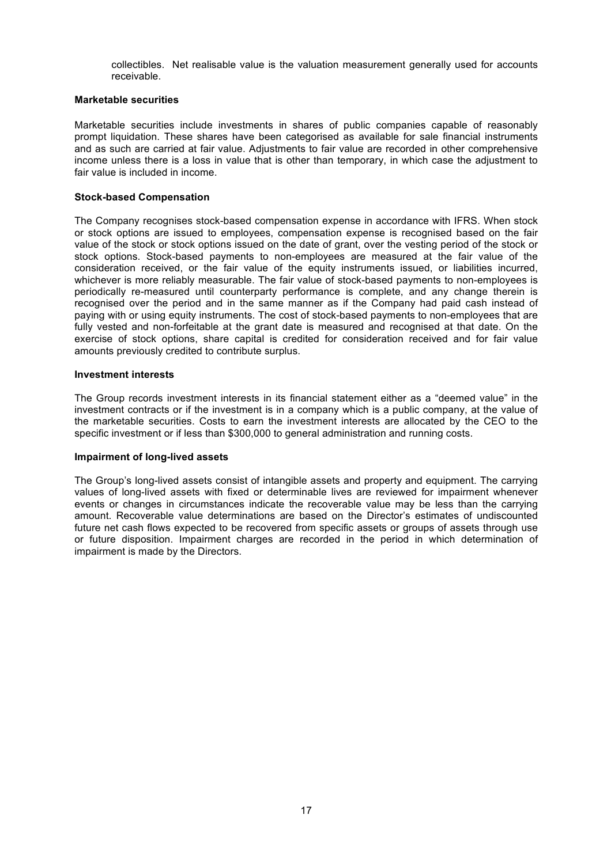collectibles. Net realisable value is the valuation measurement generally used for accounts receivable.

#### **Marketable securities**

Marketable securities include investments in shares of public companies capable of reasonably prompt liquidation. These shares have been categorised as available for sale financial instruments and as such are carried at fair value. Adjustments to fair value are recorded in other comprehensive income unless there is a loss in value that is other than temporary, in which case the adjustment to fair value is included in income.

## **Stock-based Compensation**

The Company recognises stock-based compensation expense in accordance with IFRS. When stock or stock options are issued to employees, compensation expense is recognised based on the fair value of the stock or stock options issued on the date of grant, over the vesting period of the stock or stock options. Stock-based payments to non-employees are measured at the fair value of the consideration received, or the fair value of the equity instruments issued, or liabilities incurred, whichever is more reliably measurable. The fair value of stock-based payments to non-employees is periodically re-measured until counterparty performance is complete, and any change therein is recognised over the period and in the same manner as if the Company had paid cash instead of paying with or using equity instruments. The cost of stock-based payments to non-employees that are fully vested and non-forfeitable at the grant date is measured and recognised at that date. On the exercise of stock options, share capital is credited for consideration received and for fair value amounts previously credited to contribute surplus.

#### **Investment interests**

The Group records investment interests in its financial statement either as a "deemed value" in the investment contracts or if the investment is in a company which is a public company, at the value of the marketable securities. Costs to earn the investment interests are allocated by the CEO to the specific investment or if less than \$300,000 to general administration and running costs.

#### **Impairment of long-lived assets**

The Group's long-lived assets consist of intangible assets and property and equipment. The carrying values of long-lived assets with fixed or determinable lives are reviewed for impairment whenever events or changes in circumstances indicate the recoverable value may be less than the carrying amount. Recoverable value determinations are based on the Director's estimates of undiscounted future net cash flows expected to be recovered from specific assets or groups of assets through use or future disposition. Impairment charges are recorded in the period in which determination of impairment is made by the Directors.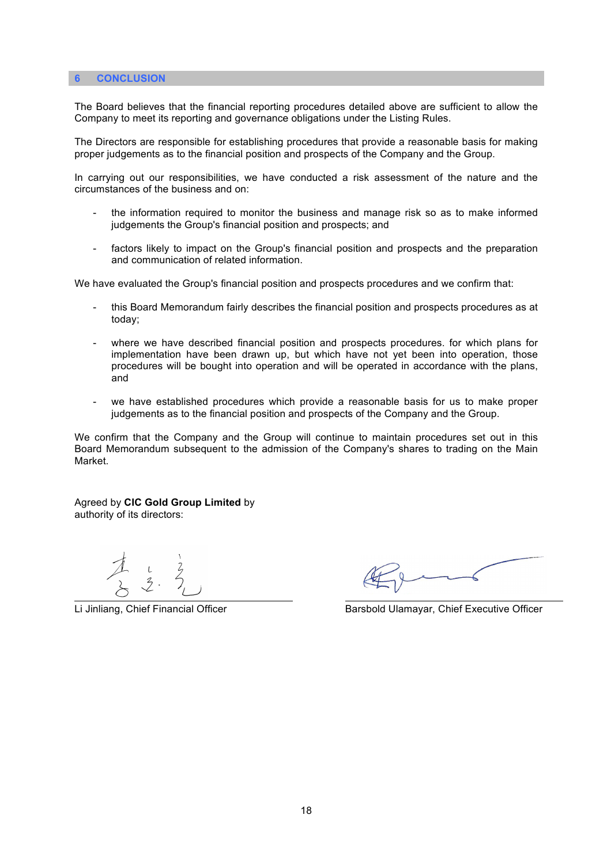### **6 CONCLUSION**

The Board believes that the financial reporting procedures detailed above are sufficient to allow the Company to meet its reporting and governance obligations under the Listing Rules.

The Directors are responsible for establishing procedures that provide a reasonable basis for making proper judgements as to the financial position and prospects of the Company and the Group.

In carrying out our responsibilities, we have conducted a risk assessment of the nature and the circumstances of the business and on:

- the information required to monitor the business and manage risk so as to make informed judgements the Group's financial position and prospects; and
- factors likely to impact on the Group's financial position and prospects and the preparation and communication of related information.

We have evaluated the Group's financial position and prospects procedures and we confirm that:

- this Board Memorandum fairly describes the financial position and prospects procedures as at today;
- where we have described financial position and prospects procedures. for which plans for implementation have been drawn up, but which have not yet been into operation, those procedures will be bought into operation and will be operated in accordance with the plans, and
- we have established procedures which provide a reasonable basis for us to make proper judgements as to the financial position and prospects of the Company and the Group.

We confirm that the Company and the Group will continue to maintain procedures set out in this Board Memorandum subsequent to the admission of the Company's shares to trading on the Main Market.

Agreed by **CIC Gold Group Limited** by authority of its directors:

Li Jinliang, Chief Financial Officer Barsbold Ulamayar, Chief Executive Officer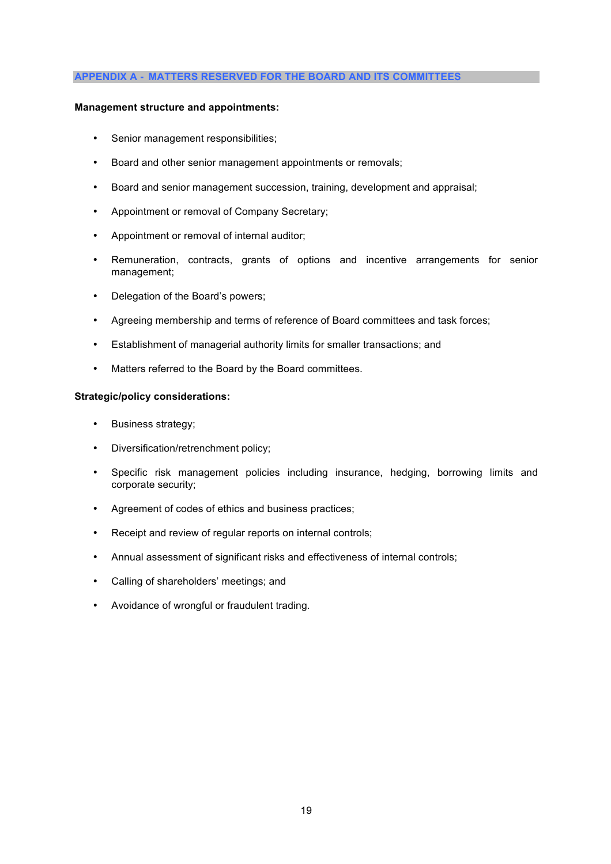#### **APPENDIX A - MATTERS RESERVED FOR THE BOARD AND ITS COMMITTEES**

## **Management structure and appointments:**

- Senior management responsibilities;
- Board and other senior management appointments or removals;
- Board and senior management succession, training, development and appraisal;
- Appointment or removal of Company Secretary;
- Appointment or removal of internal auditor;
- Remuneration, contracts, grants of options and incentive arrangements for senior management;
- Delegation of the Board's powers;
- Agreeing membership and terms of reference of Board committees and task forces;
- Establishment of managerial authority limits for smaller transactions; and
- Matters referred to the Board by the Board committees.

#### **Strategic/policy considerations:**

- Business strategy;
- Diversification/retrenchment policy;
- Specific risk management policies including insurance, hedging, borrowing limits and corporate security;
- Agreement of codes of ethics and business practices;
- Receipt and review of regular reports on internal controls;
- Annual assessment of significant risks and effectiveness of internal controls;
- Calling of shareholders' meetings; and
- Avoidance of wrongful or fraudulent trading.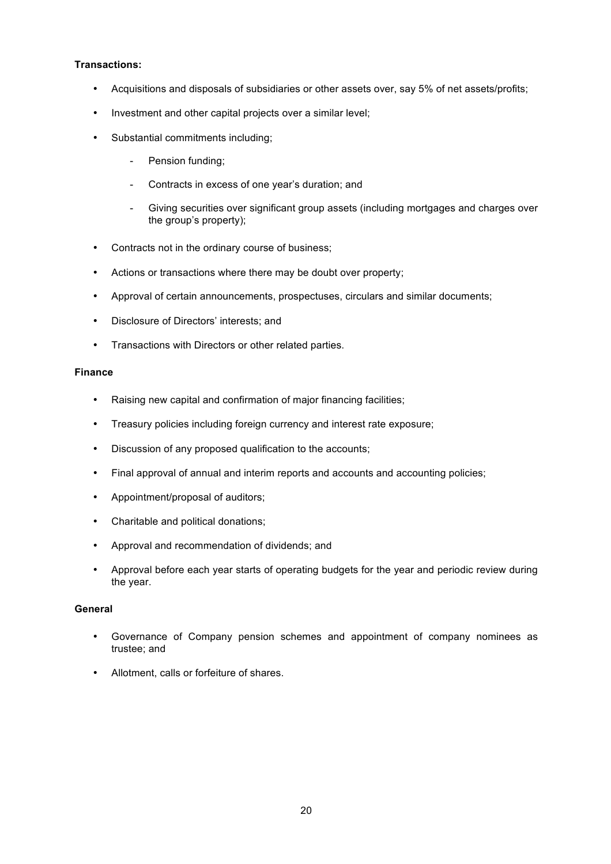# **Transactions:**

- Acquisitions and disposals of subsidiaries or other assets over, say 5% of net assets/profits;
- Investment and other capital projects over a similar level;
- Substantial commitments including;
	- Pension funding;
	- Contracts in excess of one year's duration; and
	- Giving securities over significant group assets (including mortgages and charges over the group's property);
- Contracts not in the ordinary course of business;
- Actions or transactions where there may be doubt over property;
- Approval of certain announcements, prospectuses, circulars and similar documents;
- Disclosure of Directors' interests; and
- Transactions with Directors or other related parties.

# **Finance**

- Raising new capital and confirmation of major financing facilities;
- Treasury policies including foreign currency and interest rate exposure;
- Discussion of any proposed qualification to the accounts;
- Final approval of annual and interim reports and accounts and accounting policies;
- Appointment/proposal of auditors;
- Charitable and political donations;
- Approval and recommendation of dividends; and
- Approval before each year starts of operating budgets for the year and periodic review during the year.

# **General**

- Governance of Company pension schemes and appointment of company nominees as trustee; and
- Allotment, calls or forfeiture of shares.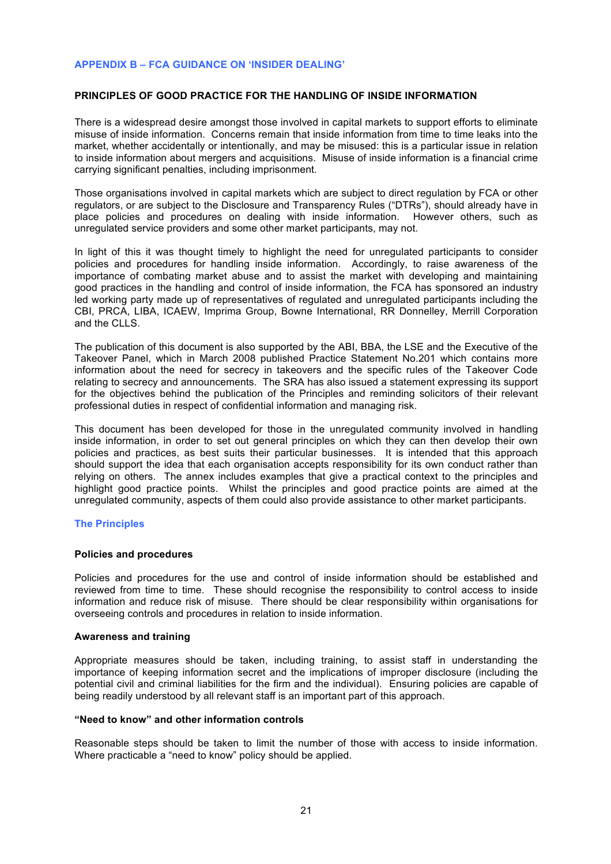## **APPENDIX B – FCA GUIDANCE ON 'INSIDER DEALING'**

### **PRINCIPLES OF GOOD PRACTICE FOR THE HANDLING OF INSIDE INFORMATION**

There is a widespread desire amongst those involved in capital markets to support efforts to eliminate misuse of inside information. Concerns remain that inside information from time to time leaks into the market, whether accidentally or intentionally, and may be misused: this is a particular issue in relation to inside information about mergers and acquisitions. Misuse of inside information is a financial crime carrying significant penalties, including imprisonment.

Those organisations involved in capital markets which are subject to direct regulation by FCA or other regulators, or are subject to the Disclosure and Transparency Rules ("DTRs"), should already have in place policies and procedures on dealing with inside information. However others, such as unregulated service providers and some other market participants, may not.

In light of this it was thought timely to highlight the need for unregulated participants to consider policies and procedures for handling inside information. Accordingly, to raise awareness of the importance of combating market abuse and to assist the market with developing and maintaining good practices in the handling and control of inside information, the FCA has sponsored an industry led working party made up of representatives of regulated and unregulated participants including the CBI, PRCA, LIBA, ICAEW, Imprima Group, Bowne International, RR Donnelley, Merrill Corporation and the CLLS.

The publication of this document is also supported by the ABI, BBA, the LSE and the Executive of the Takeover Panel, which in March 2008 published Practice Statement No.201 which contains more information about the need for secrecy in takeovers and the specific rules of the Takeover Code relating to secrecy and announcements. The SRA has also issued a statement expressing its support for the objectives behind the publication of the Principles and reminding solicitors of their relevant professional duties in respect of confidential information and managing risk.

This document has been developed for those in the unregulated community involved in handling inside information, in order to set out general principles on which they can then develop their own policies and practices, as best suits their particular businesses. It is intended that this approach should support the idea that each organisation accepts responsibility for its own conduct rather than relying on others. The annex includes examples that give a practical context to the principles and highlight good practice points. Whilst the principles and good practice points are aimed at the unregulated community, aspects of them could also provide assistance to other market participants.

#### **The Principles**

#### **Policies and procedures**

Policies and procedures for the use and control of inside information should be established and reviewed from time to time. These should recognise the responsibility to control access to inside information and reduce risk of misuse. There should be clear responsibility within organisations for overseeing controls and procedures in relation to inside information.

#### **Awareness and training**

Appropriate measures should be taken, including training, to assist staff in understanding the importance of keeping information secret and the implications of improper disclosure (including the potential civil and criminal liabilities for the firm and the individual). Ensuring policies are capable of being readily understood by all relevant staff is an important part of this approach.

#### **"Need to know" and other information controls**

Reasonable steps should be taken to limit the number of those with access to inside information. Where practicable a "need to know" policy should be applied.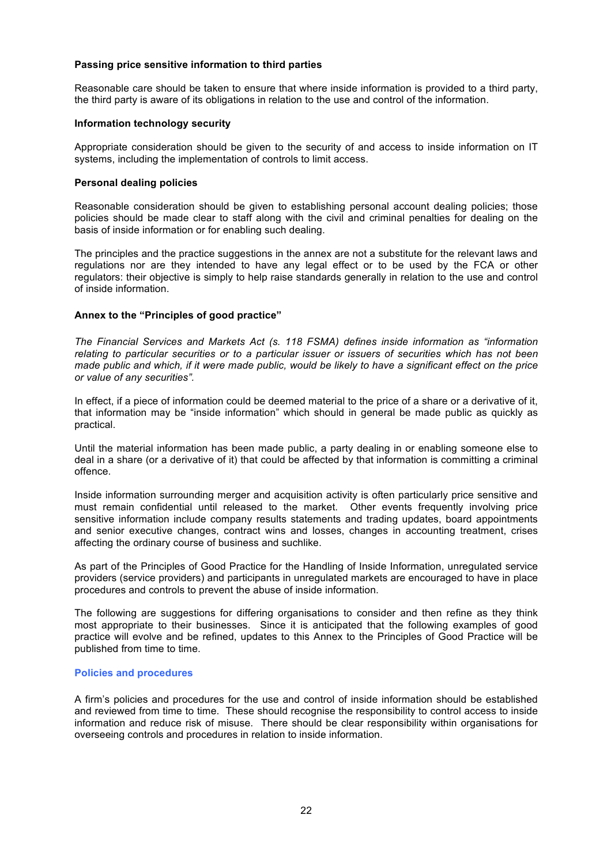## **Passing price sensitive information to third parties**

Reasonable care should be taken to ensure that where inside information is provided to a third party, the third party is aware of its obligations in relation to the use and control of the information.

#### **Information technology security**

Appropriate consideration should be given to the security of and access to inside information on IT systems, including the implementation of controls to limit access.

# **Personal dealing policies**

Reasonable consideration should be given to establishing personal account dealing policies; those policies should be made clear to staff along with the civil and criminal penalties for dealing on the basis of inside information or for enabling such dealing.

The principles and the practice suggestions in the annex are not a substitute for the relevant laws and regulations nor are they intended to have any legal effect or to be used by the FCA or other regulators: their objective is simply to help raise standards generally in relation to the use and control of inside information.

#### **Annex to the "Principles of good practice"**

*The Financial Services and Markets Act (s. 118 FSMA) defines inside information as "information relating to particular securities or to a particular issuer or issuers of securities which has not been made public and which, if it were made public, would be likely to have a significant effect on the price or value of any securities".*

In effect, if a piece of information could be deemed material to the price of a share or a derivative of it, that information may be "inside information" which should in general be made public as quickly as practical.

Until the material information has been made public, a party dealing in or enabling someone else to deal in a share (or a derivative of it) that could be affected by that information is committing a criminal offence.

Inside information surrounding merger and acquisition activity is often particularly price sensitive and must remain confidential until released to the market. Other events frequently involving price sensitive information include company results statements and trading updates, board appointments and senior executive changes, contract wins and losses, changes in accounting treatment, crises affecting the ordinary course of business and suchlike.

As part of the Principles of Good Practice for the Handling of Inside Information, unregulated service providers (service providers) and participants in unregulated markets are encouraged to have in place procedures and controls to prevent the abuse of inside information.

The following are suggestions for differing organisations to consider and then refine as they think most appropriate to their businesses. Since it is anticipated that the following examples of good practice will evolve and be refined, updates to this Annex to the Principles of Good Practice will be published from time to time.

#### **Policies and procedures**

A firm's policies and procedures for the use and control of inside information should be established and reviewed from time to time. These should recognise the responsibility to control access to inside information and reduce risk of misuse. There should be clear responsibility within organisations for overseeing controls and procedures in relation to inside information.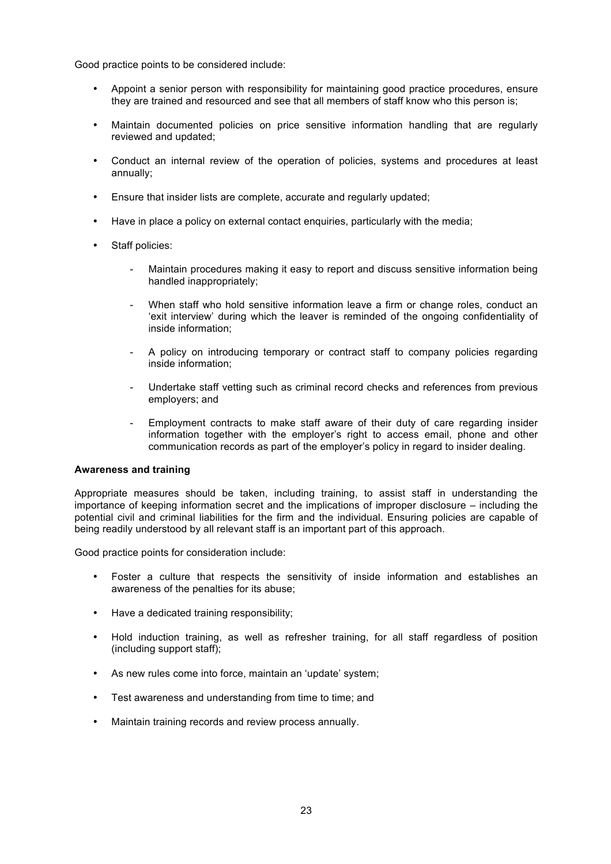Good practice points to be considered include:

- Appoint a senior person with responsibility for maintaining good practice procedures, ensure they are trained and resourced and see that all members of staff know who this person is;
- Maintain documented policies on price sensitive information handling that are regularly reviewed and updated;
- Conduct an internal review of the operation of policies, systems and procedures at least annually;
- Ensure that insider lists are complete, accurate and regularly updated;
- Have in place a policy on external contact enquiries, particularly with the media;
- Staff policies:
	- Maintain procedures making it easy to report and discuss sensitive information being handled inappropriately;
	- When staff who hold sensitive information leave a firm or change roles, conduct an 'exit interview' during which the leaver is reminded of the ongoing confidentiality of inside information;
	- A policy on introducing temporary or contract staff to company policies regarding inside information;
	- Undertake staff vetting such as criminal record checks and references from previous employers; and
	- Employment contracts to make staff aware of their duty of care regarding insider information together with the employer's right to access email, phone and other communication records as part of the employer's policy in regard to insider dealing.

#### **Awareness and training**

Appropriate measures should be taken, including training, to assist staff in understanding the importance of keeping information secret and the implications of improper disclosure – including the potential civil and criminal liabilities for the firm and the individual. Ensuring policies are capable of being readily understood by all relevant staff is an important part of this approach.

Good practice points for consideration include:

- Foster a culture that respects the sensitivity of inside information and establishes an awareness of the penalties for its abuse;
- Have a dedicated training responsibility;
- Hold induction training, as well as refresher training, for all staff regardless of position (including support staff);
- As new rules come into force, maintain an 'update' system;
- Test awareness and understanding from time to time; and
- Maintain training records and review process annually.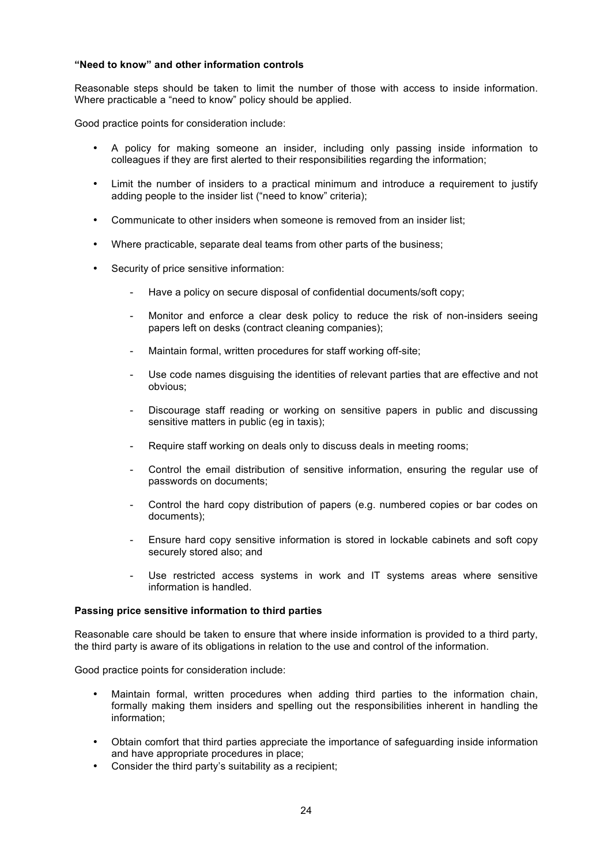### **"Need to know" and other information controls**

Reasonable steps should be taken to limit the number of those with access to inside information. Where practicable a "need to know" policy should be applied.

Good practice points for consideration include:

- A policy for making someone an insider, including only passing inside information to colleagues if they are first alerted to their responsibilities regarding the information;
- Limit the number of insiders to a practical minimum and introduce a requirement to justify adding people to the insider list ("need to know" criteria);
- Communicate to other insiders when someone is removed from an insider list;
- Where practicable, separate deal teams from other parts of the business;
- Security of price sensitive information:
	- Have a policy on secure disposal of confidential documents/soft copy;
	- Monitor and enforce a clear desk policy to reduce the risk of non-insiders seeing papers left on desks (contract cleaning companies);
	- Maintain formal, written procedures for staff working off-site;
	- Use code names disquising the identities of relevant parties that are effective and not obvious;
	- Discourage staff reading or working on sensitive papers in public and discussing sensitive matters in public (eq in taxis);
	- Require staff working on deals only to discuss deals in meeting rooms;
	- Control the email distribution of sensitive information, ensuring the regular use of passwords on documents;
	- Control the hard copy distribution of papers (e.g. numbered copies or bar codes on documents);
	- Ensure hard copy sensitive information is stored in lockable cabinets and soft copy securely stored also; and
	- Use restricted access systems in work and IT systems areas where sensitive information is handled.

#### **Passing price sensitive information to third parties**

Reasonable care should be taken to ensure that where inside information is provided to a third party, the third party is aware of its obligations in relation to the use and control of the information.

Good practice points for consideration include:

- Maintain formal, written procedures when adding third parties to the information chain, formally making them insiders and spelling out the responsibilities inherent in handling the information;
- Obtain comfort that third parties appreciate the importance of safeguarding inside information and have appropriate procedures in place;
- Consider the third party's suitability as a recipient;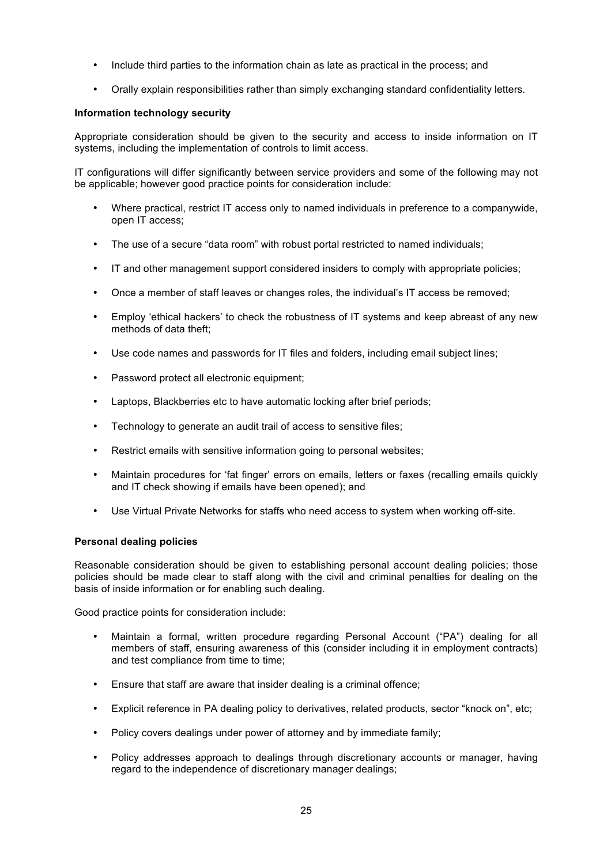- Include third parties to the information chain as late as practical in the process; and
- Orally explain responsibilities rather than simply exchanging standard confidentiality letters.

## **Information technology security**

Appropriate consideration should be given to the security and access to inside information on IT systems, including the implementation of controls to limit access.

IT configurations will differ significantly between service providers and some of the following may not be applicable; however good practice points for consideration include:

- Where practical, restrict IT access only to named individuals in preference to a companywide, open IT access;
- The use of a secure "data room" with robust portal restricted to named individuals;
- IT and other management support considered insiders to comply with appropriate policies;
- Once a member of staff leaves or changes roles, the individual's IT access be removed;
- Employ 'ethical hackers' to check the robustness of IT systems and keep abreast of any new methods of data theft;
- Use code names and passwords for IT files and folders, including email subject lines;
- Password protect all electronic equipment;
- Laptops, Blackberries etc to have automatic locking after brief periods;
- Technology to generate an audit trail of access to sensitive files;
- Restrict emails with sensitive information going to personal websites;
- Maintain procedures for 'fat finger' errors on emails, letters or faxes (recalling emails quickly and IT check showing if emails have been opened); and
- Use Virtual Private Networks for staffs who need access to system when working off-site.

# **Personal dealing policies**

Reasonable consideration should be given to establishing personal account dealing policies; those policies should be made clear to staff along with the civil and criminal penalties for dealing on the basis of inside information or for enabling such dealing.

Good practice points for consideration include:

- Maintain a formal, written procedure regarding Personal Account ("PA") dealing for all members of staff, ensuring awareness of this (consider including it in employment contracts) and test compliance from time to time;
- Ensure that staff are aware that insider dealing is a criminal offence;
- Explicit reference in PA dealing policy to derivatives, related products, sector "knock on", etc;
- Policy covers dealings under power of attorney and by immediate family;
- Policy addresses approach to dealings through discretionary accounts or manager, having regard to the independence of discretionary manager dealings;